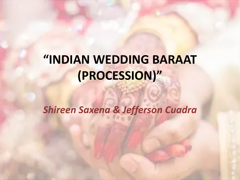# **"INDIAN WEDDING BARAAT (PROCESSION)"**

*Shireen Saxena & Jefferson Cuadra*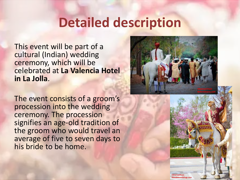#### **Detailed description**

This event will be part of a cultural (Indian) wedding ceremony, which will be celebrated at **La Valencia Hotel in La Jolla**.

The event consists of a groom's procession into the wedding ceremony. The procession signifies an age-old tradition of the groom who would travel an average of five to seven days to his bride to be home.



Mandalaweddings.com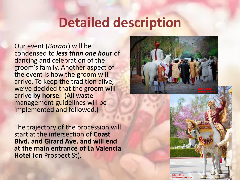#### **Detailed description**

Our event (*Baraat*) will be condensed to *less than one hour* of dancing and celebration of the groom's family. Another aspect of the event is how the groom will arrive. To keep the tradition alive, we've decided that the groom will arrive **by horse**. (All waste management guidelines will be implemented and followed.)

The trajectory of the procession will start at the intersection of **Coast Blvd. and Girard Ave. and will end at the main entrance of La Valencia Hotel** (on Prospect St),



Mandalaweddings.com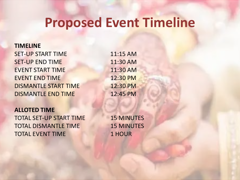### **Proposed Event Timeline**

#### **TIMELINE**

SET-UP START TIME 11:15 AM SET-UP END TIME 11:30 AM EVENT START TIME 11:30 AM EVENT END TIME 12:30 PM DISMANTLE START TIME 12:30 PM DISMANTLE END TIME 12:45 PM

#### **ALLOTED TIME** TOTAL SET-UP START TIME 15 MINUTES TOTAL DISMANTLE TIME 15 MINUTES TOTAL EVENT TIME 1 HOUR